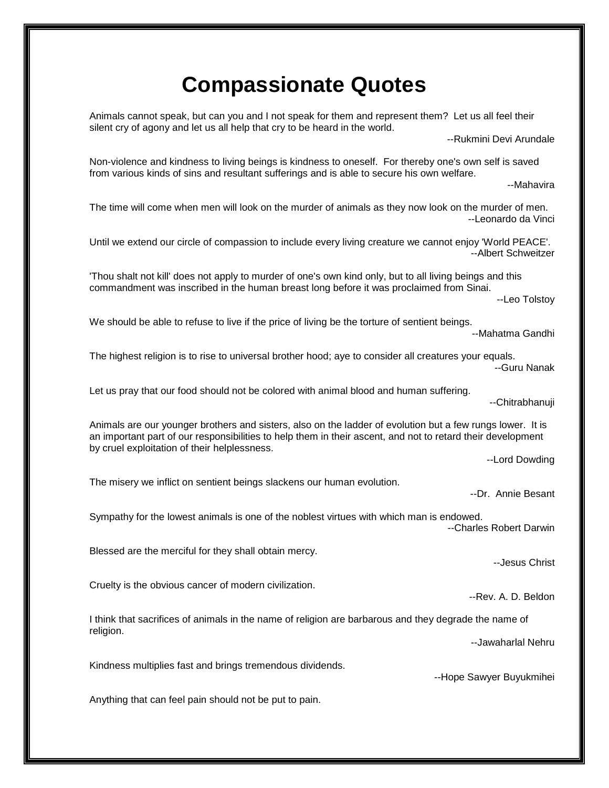## **Compassionate Quotes**

Animals cannot speak, but can you and I not speak for them and represent them? Let us all feel their silent cry of agony and let us all help that cry to be heard in the world.

--Rukmini Devi Arundale

Non-violence and kindness to living beings is kindness to oneself. For thereby one's own self is saved from various kinds of sins and resultant sufferings and is able to secure his own welfare.

--Mahavira

The time will come when men will look on the murder of animals as they now look on the murder of men. --Leonardo da Vinci

Until we extend our circle of compassion to include every living creature we cannot enjoy 'World PEACE'. --Albert Schweitzer

'Thou shalt not kill' does not apply to murder of one's own kind only, but to all living beings and this commandment was inscribed in the human breast long before it was proclaimed from Sinai.

--Leo Tolstoy

We should be able to refuse to live if the price of living be the torture of sentient beings.

--Mahatma Gandhi

The highest religion is to rise to universal brother hood; aye to consider all creatures your equals. --Guru Nanak

Let us pray that our food should not be colored with animal blood and human suffering.

--Chitrabhanuji

Animals are our younger brothers and sisters, also on the ladder of evolution but a few rungs lower. It is an important part of our responsibilities to help them in their ascent, and not to retard their development by cruel exploitation of their helplessness.

--Lord Dowding

The misery we inflict on sentient beings slackens our human evolution.

--Dr. Annie Besant

--Jesus Christ

Sympathy for the lowest animals is one of the noblest virtues with which man is endowed. --Charles Robert Darwin

Blessed are the merciful for they shall obtain mercy.

Cruelty is the obvious cancer of modern civilization.

I think that sacrifices of animals in the name of religion are barbarous and they degrade the name of religion.

--Jawaharlal Nehru

--Rev. A. D. Beldon

Kindness multiplies fast and brings tremendous dividends.

--Hope Sawyer Buyukmihei

Anything that can feel pain should not be put to pain.